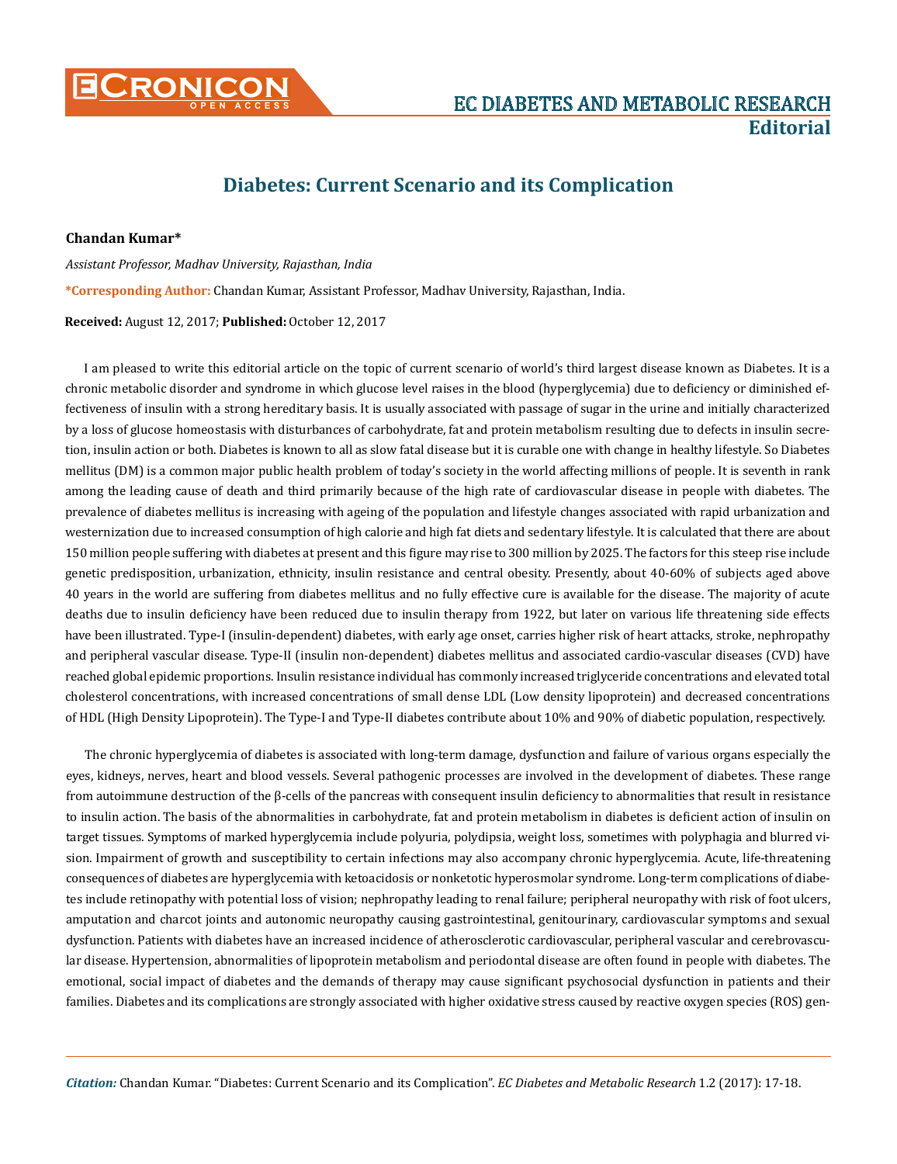

## **Diabetes: Current Scenario and its Complication**

## **Chandan Kumar\***

*Assistant Professor, Madhav University, Rajasthan, India*  **\*Corresponding Author:** Chandan Kumar, Assistant Professor, Madhav University, Rajasthan, India.

## **Received:** August 12, 2017; **Published:** October 12, 2017

I am pleased to write this editorial article on the topic of current scenario of world's third largest disease known as Diabetes. It is a chronic metabolic disorder and syndrome in which glucose level raises in the blood (hyperglycemia) due to deficiency or diminished effectiveness of insulin with a strong hereditary basis. It is usually associated with passage of sugar in the urine and initially characterized by a loss of glucose homeostasis with disturbances of carbohydrate, fat and protein metabolism resulting due to defects in insulin secretion, insulin action or both. Diabetes is known to all as slow fatal disease but it is curable one with change in healthy lifestyle. So Diabetes mellitus (DM) is a common major public health problem of today's society in the world affecting millions of people. It is seventh in rank among the leading cause of death and third primarily because of the high rate of cardiovascular disease in people with diabetes. The prevalence of diabetes mellitus is increasing with ageing of the population and lifestyle changes associated with rapid urbanization and westernization due to increased consumption of high calorie and high fat diets and sedentary lifestyle. It is calculated that there are about 150 million people suffering with diabetes at present and this figure may rise to 300 million by 2025. The factors for this steep rise include genetic predisposition, urbanization, ethnicity, insulin resistance and central obesity. Presently, about 40-60% of subjects aged above 40 years in the world are suffering from diabetes mellitus and no fully effective cure is available for the disease. The majority of acute deaths due to insulin deficiency have been reduced due to insulin therapy from 1922, but later on various life threatening side effects have been illustrated. Type-I (insulin-dependent) diabetes, with early age onset, carries higher risk of heart attacks, stroke, nephropathy and peripheral vascular disease. Type-II (insulin non-dependent) diabetes mellitus and associated cardio-vascular diseases (CVD) have reached global epidemic proportions. Insulin resistance individual has commonly increased triglyceride concentrations and elevated total cholesterol concentrations, with increased concentrations of small dense LDL (Low density lipoprotein) and decreased concentrations of HDL (High Density Lipoprotein). The Type-I and Type-II diabetes contribute about 10% and 90% of diabetic population, respectively.

The chronic hyperglycemia of diabetes is associated with long-term damage, dysfunction and failure of various organs especially the eyes, kidneys, nerves, heart and blood vessels. Several pathogenic processes are involved in the development of diabetes. These range from autoimmune destruction of the β-cells of the pancreas with consequent insulin deficiency to abnormalities that result in resistance to insulin action. The basis of the abnormalities in carbohydrate, fat and protein metabolism in diabetes is deficient action of insulin on target tissues. Symptoms of marked hyperglycemia include polyuria, polydipsia, weight loss, sometimes with polyphagia and blurred vision. Impairment of growth and susceptibility to certain infections may also accompany chronic hyperglycemia. Acute, life-threatening consequences of diabetes are hyperglycemia with ketoacidosis or nonketotic hyperosmolar syndrome. Long-term complications of diabetes include retinopathy with potential loss of vision; nephropathy leading to renal failure; peripheral neuropathy with risk of foot ulcers, amputation and charcot joints and autonomic neuropathy causing gastrointestinal, genitourinary, cardiovascular symptoms and sexual dysfunction. Patients with diabetes have an increased incidence of atherosclerotic cardiovascular, peripheral vascular and cerebrovascular disease. Hypertension, abnormalities of lipoprotein metabolism and periodontal disease are often found in people with diabetes. The emotional, social impact of diabetes and the demands of therapy may cause significant psychosocial dysfunction in patients and their families. Diabetes and its complications are strongly associated with higher oxidative stress caused by reactive oxygen species (ROS) gen